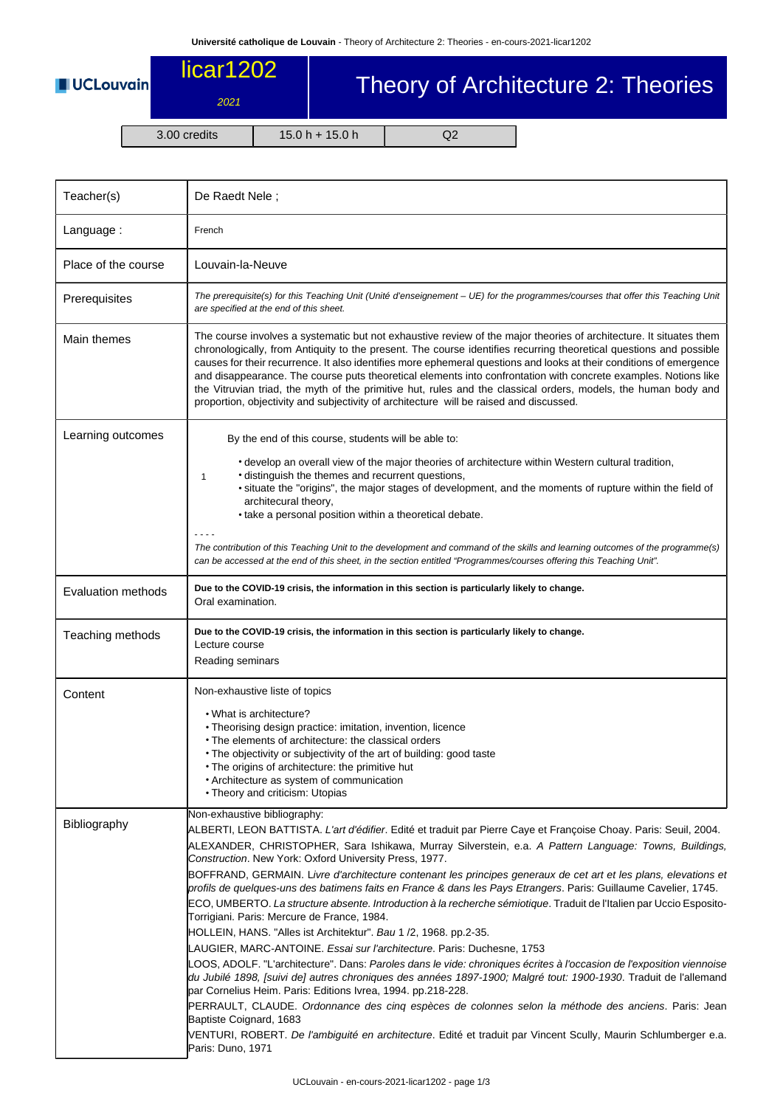**UCLouvain** 

## licar1202 2021

## Theory of Architecture 2: Theories

3.00 credits 15.0 h + 15.0 h Q2

| Teacher(s)                | De Raedt Nele;                                                                                                                                                                                                                                                                                                                                                                                                                                                                                                                                                                                                                                                                                                                                                                                                                                                                                                                                                                                                                                                                                                                                                                                                                                                                                                                                                                                                                                                                |  |  |  |  |
|---------------------------|-------------------------------------------------------------------------------------------------------------------------------------------------------------------------------------------------------------------------------------------------------------------------------------------------------------------------------------------------------------------------------------------------------------------------------------------------------------------------------------------------------------------------------------------------------------------------------------------------------------------------------------------------------------------------------------------------------------------------------------------------------------------------------------------------------------------------------------------------------------------------------------------------------------------------------------------------------------------------------------------------------------------------------------------------------------------------------------------------------------------------------------------------------------------------------------------------------------------------------------------------------------------------------------------------------------------------------------------------------------------------------------------------------------------------------------------------------------------------------|--|--|--|--|
| Language:                 | French                                                                                                                                                                                                                                                                                                                                                                                                                                                                                                                                                                                                                                                                                                                                                                                                                                                                                                                                                                                                                                                                                                                                                                                                                                                                                                                                                                                                                                                                        |  |  |  |  |
| Place of the course       | Louvain-la-Neuve                                                                                                                                                                                                                                                                                                                                                                                                                                                                                                                                                                                                                                                                                                                                                                                                                                                                                                                                                                                                                                                                                                                                                                                                                                                                                                                                                                                                                                                              |  |  |  |  |
| Prerequisites             | The prerequisite(s) for this Teaching Unit (Unité d'enseignement – UE) for the programmes/courses that offer this Teaching Unit<br>are specified at the end of this sheet.                                                                                                                                                                                                                                                                                                                                                                                                                                                                                                                                                                                                                                                                                                                                                                                                                                                                                                                                                                                                                                                                                                                                                                                                                                                                                                    |  |  |  |  |
| Main themes               | The course involves a systematic but not exhaustive review of the major theories of architecture. It situates them<br>chronologically, from Antiquity to the present. The course identifies recurring theoretical questions and possible<br>causes for their recurrence. It also identifies more ephemeral questions and looks at their conditions of emergence<br>and disappearance. The course puts theoretical elements into confrontation with concrete examples. Notions like<br>the Vitruvian triad, the myth of the primitive hut, rules and the classical orders, models, the human body and<br>proportion, objectivity and subjectivity of architecture will be raised and discussed.                                                                                                                                                                                                                                                                                                                                                                                                                                                                                                                                                                                                                                                                                                                                                                                |  |  |  |  |
| Learning outcomes         | By the end of this course, students will be able to:<br>• develop an overall view of the major theories of architecture within Western cultural tradition,<br>· distinguish the themes and recurrent questions,<br>1<br>• situate the "origins", the major stages of development, and the moments of rupture within the field of<br>architecural theory,                                                                                                                                                                                                                                                                                                                                                                                                                                                                                                                                                                                                                                                                                                                                                                                                                                                                                                                                                                                                                                                                                                                      |  |  |  |  |
|                           | • take a personal position within a theoretical debate.<br>The contribution of this Teaching Unit to the development and command of the skills and learning outcomes of the programme(s)<br>can be accessed at the end of this sheet, in the section entitled "Programmes/courses offering this Teaching Unit".                                                                                                                                                                                                                                                                                                                                                                                                                                                                                                                                                                                                                                                                                                                                                                                                                                                                                                                                                                                                                                                                                                                                                               |  |  |  |  |
| <b>Evaluation methods</b> | Due to the COVID-19 crisis, the information in this section is particularly likely to change.<br>Oral examination.                                                                                                                                                                                                                                                                                                                                                                                                                                                                                                                                                                                                                                                                                                                                                                                                                                                                                                                                                                                                                                                                                                                                                                                                                                                                                                                                                            |  |  |  |  |
| Teaching methods          | Due to the COVID-19 crisis, the information in this section is particularly likely to change.<br>Lecture course<br>Reading seminars                                                                                                                                                                                                                                                                                                                                                                                                                                                                                                                                                                                                                                                                                                                                                                                                                                                                                                                                                                                                                                                                                                                                                                                                                                                                                                                                           |  |  |  |  |
| Content                   | Non-exhaustive liste of topics<br>• What is architecture?<br>• Theorising design practice: imitation, invention, licence<br>• The elements of architecture: the classical orders<br>. The objectivity or subjectivity of the art of building: good taste<br>• The origins of architecture: the primitive hut<br>• Architecture as system of communication<br>• Theory and criticism: Utopias                                                                                                                                                                                                                                                                                                                                                                                                                                                                                                                                                                                                                                                                                                                                                                                                                                                                                                                                                                                                                                                                                  |  |  |  |  |
| Bibliography              | Non-exhaustive bibliography:<br>ALBERTI, LEON BATTISTA. L'art d'édifier. Edité et traduit par Pierre Caye et Françoise Choay. Paris: Seuil, 2004.<br>ALEXANDER, CHRISTOPHER, Sara Ishikawa, Murray Silverstein, e.a. A Pattern Language: Towns, Buildings,<br>Construction. New York: Oxford University Press, 1977.<br>BOFFRAND, GERMAIN. Livre d'architecture contenant les principes generaux de cet art et les plans, elevations et<br>profils de quelques-uns des batimens faits en France & dans les Pays Etrangers. Paris: Guillaume Cavelier, 1745.<br>ECO, UMBERTO. <i>La structure absente. Introduction à la recherche sémiotique</i> . Traduit de l'Italien par Uccio Esposito-<br>Torrigiani. Paris: Mercure de France, 1984.<br>HOLLEIN, HANS. "Alles ist Architektur". Bau 1 /2, 1968. pp.2-35.<br>LAUGIER, MARC-ANTOINE. Essai sur l'architecture. Paris: Duchesne, 1753<br>LOOS, ADOLF. "L'architecture". Dans: Paroles dans le vide: chroniques écrites à l'occasion de l'exposition viennoise<br>du Jubilé 1898, [suivi de] autres chroniques des années 1897-1900; Malgré tout: 1900-1930. Traduit de l'allemand<br>par Cornelius Heim. Paris: Editions Ivrea, 1994. pp.218-228.<br>PERRAULT, CLAUDE. Ordonnance des cinq espèces de colonnes selon la méthode des anciens. Paris: Jean<br>Baptiste Coignard, 1683<br>VENTURI, ROBERT. De l'ambiguité en architecture. Edité et traduit par Vincent Scully, Maurin Schlumberger e.a.<br>Paris: Duno, 1971 |  |  |  |  |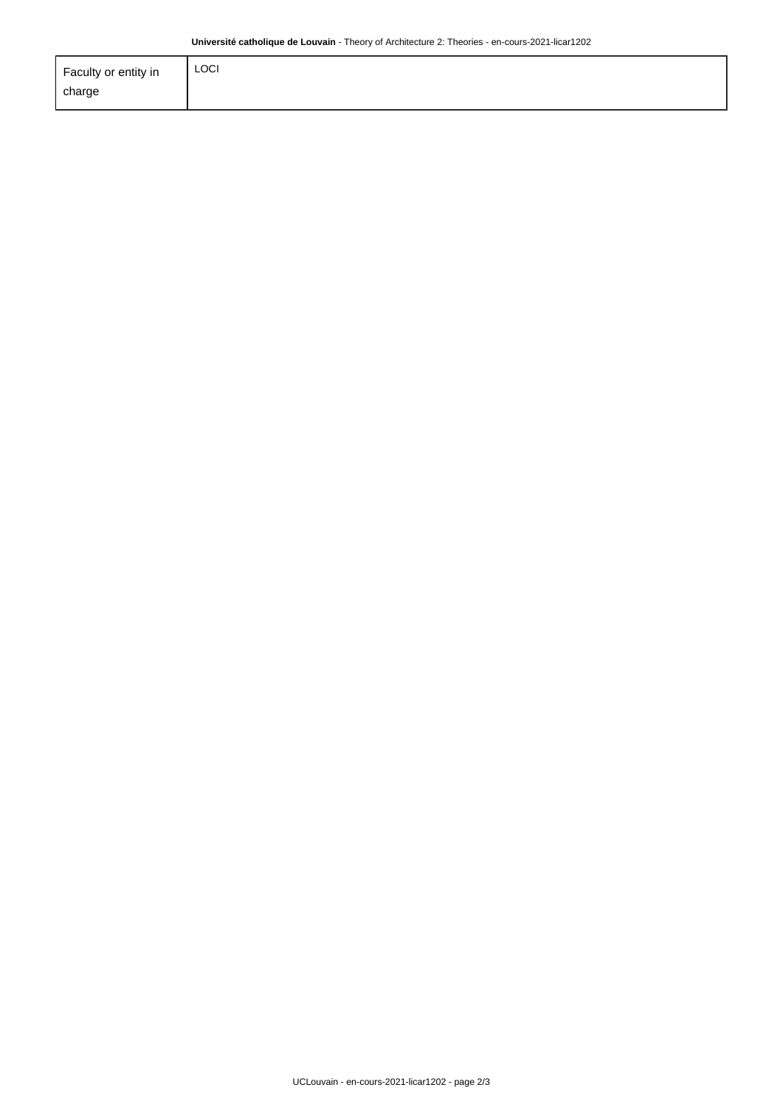| Faculty or entity in | <b>LOCI</b> |
|----------------------|-------------|
| charge               |             |